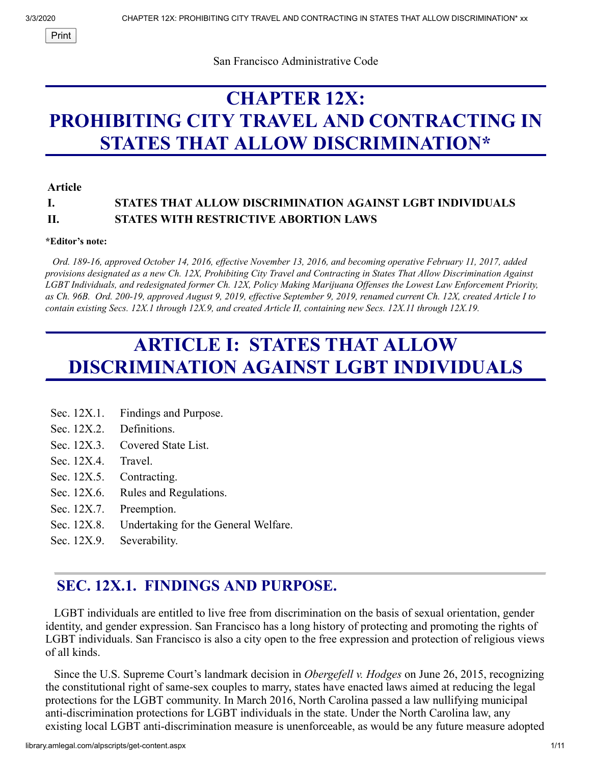Print

San Francisco Administrative Code

# **CHAPTER 12X: PROHIBITING CITY TRAVEL AND CONTRACTING IN STATES THAT ALLOW DISCRIMINATION\***

#### **Article**

#### **I. STATES THAT ALLOW DISCRIMINATION AGAINST LGBT INDIVIDUALS II. STATES WITH RESTRICTIVE ABORTION LAWS**

#### **\*Editor's note:**

Ord. 189-16, approved October 14, 2016, effective November 13, 2016, and becoming operative February 11, 2017, added provisions designated as a new Ch. 12X, Prohibiting City Travel and Contracting in States That Allow Discrimination Against LGBT Individuals, and redesignated former Ch. 12X, Policy Making Marijuana Offenses the Lowest Law Enforcement Priority, as Ch. 96B. Ord. 200-19, approved August 9, 2019, effective September 9, 2019, renamed current Ch. 12X, created Article I to *contain existing Secs. 12X.1 through 12X.9, and created Article II, containing new Secs. 12X.11 through 12X.19.*

# **ARTICLE I: STATES THAT ALLOW DISCRIMINATION AGAINST LGBT INDIVIDUALS**

- Sec. 12X.1. Findings and Purpose.
- Sec. 12X.2. Definitions.
- Sec. 12X.3. Covered State List.
- Sec. 12X.4. Travel.
- Sec. 12X.5. Contracting.
- Sec. 12X.6. Rules and Regulations.
- Sec. 12X.7. Preemption.
- Sec. 12X.8. Undertaking for the General Welfare.
- Sec. 12X.9. Severability.

#### **SEC. 12X.1. FINDINGS AND PURPOSE.**

 LGBT individuals are entitled to live free from discrimination on the basis of sexual orientation, gender identity, and gender expression. San Francisco has a long history of protecting and promoting the rights of LGBT individuals. San Francisco is also a city open to the free expression and protection of religious views of all kinds.

 Since the U.S. Supreme Court's landmark decision in *Obergefell v. Hodges* on June 26, 2015, recognizing the constitutional right of same-sex couples to marry, states have enacted laws aimed at reducing the legal protections for the LGBT community. In March 2016, North Carolina passed a law nullifying municipal anti-discrimination protections for LGBT individuals in the state. Under the North Carolina law, any existing local LGBT anti-discrimination measure is unenforceable, as would be any future measure adopted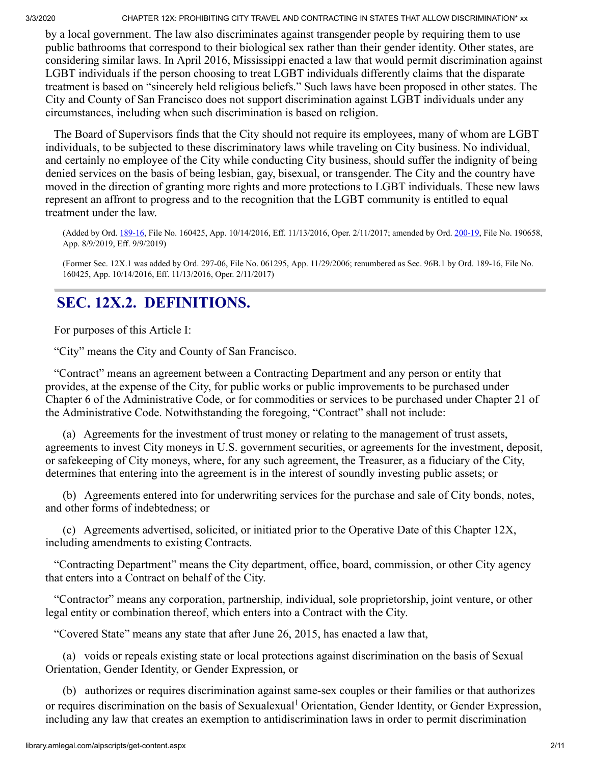by a local government. The law also discriminates against transgender people by requiring them to use public bathrooms that correspond to their biological sex rather than their gender identity. Other states, are considering similar laws. In April 2016, Mississippi enacted a law that would permit discrimination against LGBT individuals if the person choosing to treat LGBT individuals differently claims that the disparate treatment is based on "sincerely held religious beliefs." Such laws have been proposed in other states. The City and County of San Francisco does not support discrimination against LGBT individuals under any circumstances, including when such discrimination is based on religion.

 The Board of Supervisors finds that the City should not require its employees, many of whom are LGBT individuals, to be subjected to these discriminatory laws while traveling on City business. No individual, and certainly no employee of the City while conducting City business, should suffer the indignity of being denied services on the basis of being lesbian, gay, bisexual, or transgender. The City and the country have moved in the direction of granting more rights and more protections to LGBT individuals. These new laws represent an affront to progress and to the recognition that the LGBT community is entitled to equal treatment under the law.

(Added by Ord. [189-16,](http://sfbos.org/sites/default/files/o0189-16.pdf) File No. 160425, App. 10/14/2016, Eff. 11/13/2016, Oper. 2/11/2017; amended by Ord. [200-19](https://sfbos.org/sites/default/files/o0200-19.pdf), File No. 190658, App. 8/9/2019, Eff. 9/9/2019)

(Former Sec. 12X.1 was added by Ord. 297-06, File No. 061295, App. 11/29/2006; renumbered as Sec. 96B.1 by Ord. 189-16, File No. 160425, App. 10/14/2016, Eff. 11/13/2016, Oper. 2/11/2017)

# **SEC. 12X.2. DEFINITIONS.**

For purposes of this Article I:

"City" means the City and County of San Francisco.

 "Contract" means an agreement between a Contracting Department and any person or entity that provides, at the expense of the City, for public works or public improvements to be purchased under Chapter 6 of the Administrative Code, or for commodities or services to be purchased under Chapter 21 of the Administrative Code. Notwithstanding the foregoing, "Contract" shall not include:

 (a) Agreements for the investment of trust money or relating to the management of trust assets, agreements to invest City moneys in U.S. government securities, or agreements for the investment, deposit, or safekeeping of City moneys, where, for any such agreement, the Treasurer, as a fiduciary of the City, determines that entering into the agreement is in the interest of soundly investing public assets; or

 (b) Agreements entered into for underwriting services for the purchase and sale of City bonds, notes, and other forms of indebtedness; or

 (c) Agreements advertised, solicited, or initiated prior to the Operative Date of this Chapter 12X, including amendments to existing Contracts.

 "Contracting Department" means the City department, office, board, commission, or other City agency that enters into a Contract on behalf of the City.

 "Contractor" means any corporation, partnership, individual, sole proprietorship, joint venture, or other legal entity or combination thereof, which enters into a Contract with the City.

"Covered State" means any state that after June 26, 2015, has enacted a law that,

 (a) voids or repeals existing state or local protections against discrimination on the basis of Sexual Orientation, Gender Identity, or Gender Expression, or

 (b) authorizes or requires discrimination against same-sex couples or their families or that authorizes or requires discrimination on the basis of Sexualexual<sup>1</sup> Orientation, Gender Identity, or Gender Expression, including any law that creates an exemption to antidiscrimination laws in order to permit discrimination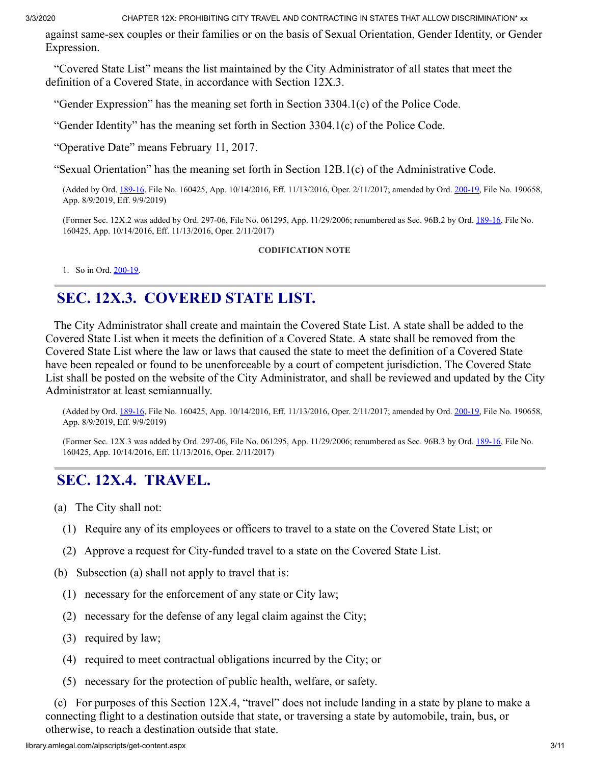against same-sex couples or their families or on the basis of Sexual Orientation, Gender Identity, or Gender Expression.

 "Covered State List" means the list maintained by the City Administrator of all states that meet the definition of a Covered State, in accordance with Section 12X.3.

"Gender Expression" has the meaning set forth in Section 3304.1(c) of the Police Code.

"Gender Identity" has the meaning set forth in Section 3304.1(c) of the Police Code.

"Operative Date" means February 11, 2017.

"Sexual Orientation" has the meaning set forth in Section 12B.1(c) of the Administrative Code.

(Added by Ord. [189-16,](http://sfbos.org/sites/default/files/o0189-16.pdf) File No. 160425, App. 10/14/2016, Eff. 11/13/2016, Oper. 2/11/2017; amended by Ord. [200-19](https://sfbos.org/sites/default/files/o0200-19.pdf), File No. 190658, App. 8/9/2019, Eff. 9/9/2019)

(Former Sec. 12X.2 was added by Ord. 297-06, File No. 061295, App. 11/29/2006; renumbered as Sec. 96B.2 by Ord. [189-16,](http://sfbos.org/sites/default/files/o0189-16.pdf) File No. 160425, App. 10/14/2016, Eff. 11/13/2016, Oper. 2/11/2017)

**CODIFICATION NOTE**

1. So in Ord. [200-19.](https://sfbos.org/sites/default/files/o0200-19.pdf)

## **SEC. 12X.3. COVERED STATE LIST.**

 The City Administrator shall create and maintain the Covered State List. A state shall be added to the Covered State List when it meets the definition of a Covered State. A state shall be removed from the Covered State List where the law or laws that caused the state to meet the definition of a Covered State have been repealed or found to be unenforceable by a court of competent jurisdiction. The Covered State List shall be posted on the website of the City Administrator, and shall be reviewed and updated by the City Administrator at least semiannually.

(Added by Ord. [189-16,](http://sfbos.org/sites/default/files/o0189-16.pdf) File No. 160425, App. 10/14/2016, Eff. 11/13/2016, Oper. 2/11/2017; amended by Ord. [200-19](https://sfbos.org/sites/default/files/o0200-19.pdf), File No. 190658, App. 8/9/2019, Eff. 9/9/2019)

(Former Sec. 12X.3 was added by Ord. 297-06, File No. 061295, App. 11/29/2006; renumbered as Sec. 96B.3 by Ord. [189-16,](http://sfbos.org/sites/default/files/o0189-16.pdf) File No. 160425, App. 10/14/2016, Eff. 11/13/2016, Oper. 2/11/2017)

### **SEC. 12X.4. TRAVEL.**

- (a) The City shall not:
	- (1) Require any of its employees or officers to travel to a state on the Covered State List; or
	- (2) Approve a request for City-funded travel to a state on the Covered State List.
- (b) Subsection (a) shall not apply to travel that is:
	- (1) necessary for the enforcement of any state or City law;
	- (2) necessary for the defense of any legal claim against the City;
	- (3) required by law;
	- (4) required to meet contractual obligations incurred by the City; or
	- (5) necessary for the protection of public health, welfare, or safety.

 (c) For purposes of this Section 12X.4, "travel" does not include landing in a state by plane to make a connecting flight to a destination outside that state, or traversing a state by automobile, train, bus, or otherwise, to reach a destination outside that state.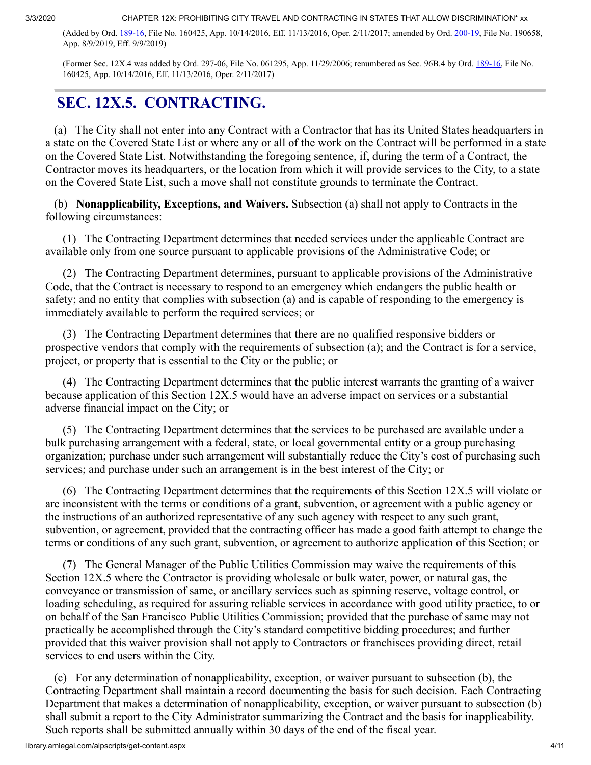(Added by Ord. [189-16,](http://sfbos.org/sites/default/files/o0189-16.pdf) File No. 160425, App. 10/14/2016, Eff. 11/13/2016, Oper. 2/11/2017; amended by Ord. [200-19](https://sfbos.org/sites/default/files/o0200-19.pdf), File No. 190658, App. 8/9/2019, Eff. 9/9/2019)

(Former Sec. 12X.4 was added by Ord. 297-06, File No. 061295, App. 11/29/2006; renumbered as Sec. 96B.4 by Ord. [189-16,](http://sfbos.org/sites/default/files/o0189-16.pdf) File No. 160425, App. 10/14/2016, Eff. 11/13/2016, Oper. 2/11/2017)

#### **SEC. 12X.5. CONTRACTING.**

 (a) The City shall not enter into any Contract with a Contractor that has its United States headquarters in a state on the Covered State List or where any or all of the work on the Contract will be performed in a state on the Covered State List. Notwithstanding the foregoing sentence, if, during the term of a Contract, the Contractor moves its headquarters, or the location from which it will provide services to the City, to a state on the Covered State List, such a move shall not constitute grounds to terminate the Contract.

 (b) **Nonapplicability, Exceptions, and Waivers.** Subsection (a) shall not apply to Contracts in the following circumstances:

 (1) The Contracting Department determines that needed services under the applicable Contract are available only from one source pursuant to applicable provisions of the Administrative Code; or

 (2) The Contracting Department determines, pursuant to applicable provisions of the Administrative Code, that the Contract is necessary to respond to an emergency which endangers the public health or safety; and no entity that complies with subsection (a) and is capable of responding to the emergency is immediately available to perform the required services; or

 (3) The Contracting Department determines that there are no qualified responsive bidders or prospective vendors that comply with the requirements of subsection (a); and the Contract is for a service, project, or property that is essential to the City or the public; or

 (4) The Contracting Department determines that the public interest warrants the granting of a waiver because application of this Section 12X.5 would have an adverse impact on services or a substantial adverse financial impact on the City; or

 (5) The Contracting Department determines that the services to be purchased are available under a bulk purchasing arrangement with a federal, state, or local governmental entity or a group purchasing organization; purchase under such arrangement will substantially reduce the City's cost of purchasing such services; and purchase under such an arrangement is in the best interest of the City; or

 (6) The Contracting Department determines that the requirements of this Section 12X.5 will violate or are inconsistent with the terms or conditions of a grant, subvention, or agreement with a public agency or the instructions of an authorized representative of any such agency with respect to any such grant, subvention, or agreement, provided that the contracting officer has made a good faith attempt to change the terms or conditions of any such grant, subvention, or agreement to authorize application of this Section; or

 (7) The General Manager of the Public Utilities Commission may waive the requirements of this Section 12X.5 where the Contractor is providing wholesale or bulk water, power, or natural gas, the conveyance or transmission of same, or ancillary services such as spinning reserve, voltage control, or loading scheduling, as required for assuring reliable services in accordance with good utility practice, to or on behalf of the San Francisco Public Utilities Commission; provided that the purchase of same may not practically be accomplished through the City's standard competitive bidding procedures; and further provided that this waiver provision shall not apply to Contractors or franchisees providing direct, retail services to end users within the City.

 (c) For any determination of nonapplicability, exception, or waiver pursuant to subsection (b), the Contracting Department shall maintain a record documenting the basis for such decision. Each Contracting Department that makes a determination of nonapplicability, exception, or waiver pursuant to subsection (b) shall submit a report to the City Administrator summarizing the Contract and the basis for inapplicability. Such reports shall be submitted annually within 30 days of the end of the fiscal year.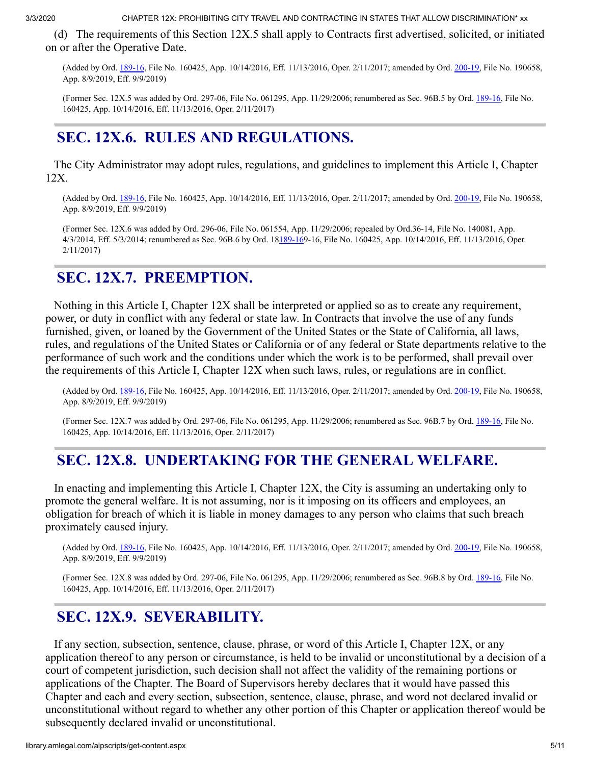(d) The requirements of this Section 12X.5 shall apply to Contracts first advertised, solicited, or initiated on or after the Operative Date.

(Added by Ord. [189-16,](http://sfbos.org/sites/default/files/o0189-16.pdf) File No. 160425, App. 10/14/2016, Eff. 11/13/2016, Oper. 2/11/2017; amended by Ord. [200-19](https://sfbos.org/sites/default/files/o0200-19.pdf), File No. 190658, App. 8/9/2019, Eff. 9/9/2019)

(Former Sec. 12X.5 was added by Ord. 297-06, File No. 061295, App. 11/29/2006; renumbered as Sec. 96B.5 by Ord. [189-16,](http://sfbos.org/sites/default/files/o0189-16.pdf) File No. 160425, App. 10/14/2016, Eff. 11/13/2016, Oper. 2/11/2017)

#### **SEC. 12X.6. RULES AND REGULATIONS.**

 The City Administrator may adopt rules, regulations, and guidelines to implement this Article I, Chapter 12X.

(Added by Ord. [189-16,](http://sfbos.org/sites/default/files/o0189-16.pdf) File No. 160425, App. 10/14/2016, Eff. 11/13/2016, Oper. 2/11/2017; amended by Ord. [200-19](https://sfbos.org/sites/default/files/o0200-19.pdf), File No. 190658, App. 8/9/2019, Eff. 9/9/2019)

(Former Sec. 12X.6 was added by Ord. 296-06, File No. 061554, App. 11/29/2006; repealed by Ord.36-14, File No. 140081, App. 4/3/2014, Eff. 5/3/2014; renumbered as Sec. 96B.6 by Ord. 1[8189-169](http://sfbos.org/sites/default/files/o0189-16.pdf)-16, File No. 160425, App. 10/14/2016, Eff. 11/13/2016, Oper. 2/11/2017)

#### **SEC. 12X.7. PREEMPTION.**

 Nothing in this Article I, Chapter 12X shall be interpreted or applied so as to create any requirement, power, or duty in conflict with any federal or state law. In Contracts that involve the use of any funds furnished, given, or loaned by the Government of the United States or the State of California, all laws, rules, and regulations of the United States or California or of any federal or State departments relative to the performance of such work and the conditions under which the work is to be performed, shall prevail over the requirements of this Article I, Chapter 12X when such laws, rules, or regulations are in conflict.

(Added by Ord. [189-16,](http://sfbos.org/sites/default/files/o0189-16.pdf) File No. 160425, App. 10/14/2016, Eff. 11/13/2016, Oper. 2/11/2017; amended by Ord. [200-19](https://sfbos.org/sites/default/files/o0200-19.pdf), File No. 190658, App. 8/9/2019, Eff. 9/9/2019)

(Former Sec. 12X.7 was added by Ord. 297-06, File No. 061295, App. 11/29/2006; renumbered as Sec. 96B.7 by Ord. [189-16,](http://sfbos.org/sites/default/files/o0189-16.pdf) File No. 160425, App. 10/14/2016, Eff. 11/13/2016, Oper. 2/11/2017)

### **SEC. 12X.8. UNDERTAKING FOR THE GENERAL WELFARE.**

 In enacting and implementing this Article I, Chapter 12X, the City is assuming an undertaking only to promote the general welfare. It is not assuming, nor is it imposing on its officers and employees, an obligation for breach of which it is liable in money damages to any person who claims that such breach proximately caused injury.

(Added by Ord. [189-16,](http://sfbos.org/sites/default/files/o0189-16.pdf) File No. 160425, App. 10/14/2016, Eff. 11/13/2016, Oper. 2/11/2017; amended by Ord. [200-19](https://sfbos.org/sites/default/files/o0200-19.pdf), File No. 190658, App. 8/9/2019, Eff. 9/9/2019)

(Former Sec. 12X.8 was added by Ord. 297-06, File No. 061295, App. 11/29/2006; renumbered as Sec. 96B.8 by Ord. [189-16,](http://sfbos.org/sites/default/files/o0189-16.pdf) File No. 160425, App. 10/14/2016, Eff. 11/13/2016, Oper. 2/11/2017)

### **SEC. 12X.9. SEVERABILITY.**

 If any section, subsection, sentence, clause, phrase, or word of this Article I, Chapter 12X, or any application thereof to any person or circumstance, is held to be invalid or unconstitutional by a decision of a court of competent jurisdiction, such decision shall not affect the validity of the remaining portions or applications of the Chapter. The Board of Supervisors hereby declares that it would have passed this Chapter and each and every section, subsection, sentence, clause, phrase, and word not declared invalid or unconstitutional without regard to whether any other portion of this Chapter or application thereof would be subsequently declared invalid or unconstitutional.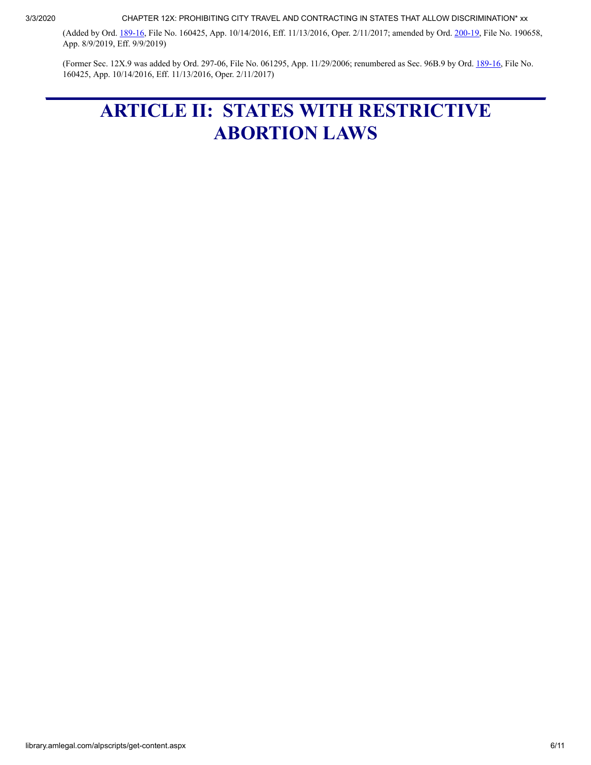(Added by Ord. [189-16,](http://sfbos.org/sites/default/files/o0189-16.pdf) File No. 160425, App. 10/14/2016, Eff. 11/13/2016, Oper. 2/11/2017; amended by Ord. [200-19](https://sfbos.org/sites/default/files/o0200-19.pdf), File No. 190658, App. 8/9/2019, Eff. 9/9/2019)

(Former Sec. 12X.9 was added by Ord. 297-06, File No. 061295, App. 11/29/2006; renumbered as Sec. 96B.9 by Ord. [189-16,](http://sfbos.org/sites/default/files/o0189-16.pdf) File No. 160425, App. 10/14/2016, Eff. 11/13/2016, Oper. 2/11/2017)

# **ARTICLE II: STATES WITH RESTRICTIVE ABORTION LAWS**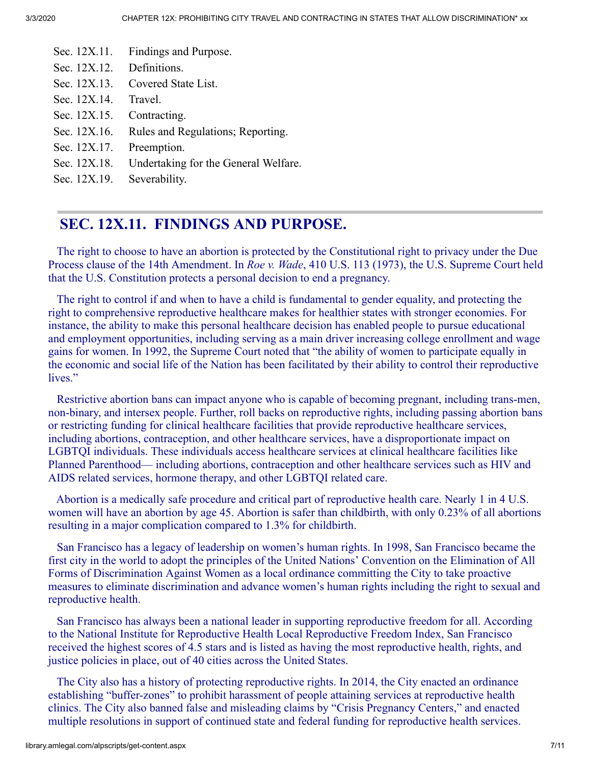- Sec. 12X.11. Findings and Purpose.
- Sec. 12X.12. Definitions.
- Sec. 12X.13. Covered State List.
- Sec. 12X.14. Travel.
- Sec. 12X.15. Contracting.
- Sec. 12X.16. Rules and Regulations; Reporting.
- Sec. 12X.17. Preemption.
- Sec. 12X.18. Undertaking for the General Welfare.
- Sec. 12X.19. Severability.

#### **SEC. 12X.11. FINDINGS AND PURPOSE.**

 The right to choose to have an abortion is protected by the Constitutional right to privacy under the Due Process clause of the 14th Amendment. In *Roe v. Wade*, 410 U.S. 113 (1973), the U.S. Supreme Court held that the U.S. Constitution protects a personal decision to end a pregnancy.

 The right to control if and when to have a child is fundamental to gender equality, and protecting the right to comprehensive reproductive healthcare makes for healthier states with stronger economies. For instance, the ability to make this personal healthcare decision has enabled people to pursue educational and employment opportunities, including serving as a main driver increasing college enrollment and wage gains for women. In 1992, the Supreme Court noted that "the ability of women to participate equally in the economic and social life of the Nation has been facilitated by their ability to control their reproductive lives."

 Restrictive abortion bans can impact anyone who is capable of becoming pregnant, including trans-men, non-binary, and intersex people. Further, roll backs on reproductive rights, including passing abortion bans or restricting funding for clinical healthcare facilities that provide reproductive healthcare services, including abortions, contraception, and other healthcare services, have a disproportionate impact on LGBTQI individuals. These individuals access healthcare services at clinical healthcare facilities like Planned Parenthood— including abortions, contraception and other healthcare services such as HIV and AIDS related services, hormone therapy, and other LGBTQI related care.

 Abortion is a medically safe procedure and critical part of reproductive health care. Nearly 1 in 4 U.S. women will have an abortion by age 45. Abortion is safer than childbirth, with only 0.23% of all abortions resulting in a major complication compared to 1.3% for childbirth.

 San Francisco has a legacy of leadership on women's human rights. In 1998, San Francisco became the first city in the world to adopt the principles of the United Nations' Convention on the Elimination of All Forms of Discrimination Against Women as a local ordinance committing the City to take proactive measures to eliminate discrimination and advance women's human rights including the right to sexual and reproductive health.

 San Francisco has always been a national leader in supporting reproductive freedom for all. According to the National Institute for Reproductive Health Local Reproductive Freedom Index, San Francisco received the highest scores of 4.5 stars and is listed as having the most reproductive health, rights, and justice policies in place, out of 40 cities across the United States.

 The City also has a history of protecting reproductive rights. In 2014, the City enacted an ordinance establishing "buffer-zones" to prohibit harassment of people attaining services at reproductive health clinics. The City also banned false and misleading claims by "Crisis Pregnancy Centers," and enacted multiple resolutions in support of continued state and federal funding for reproductive health services.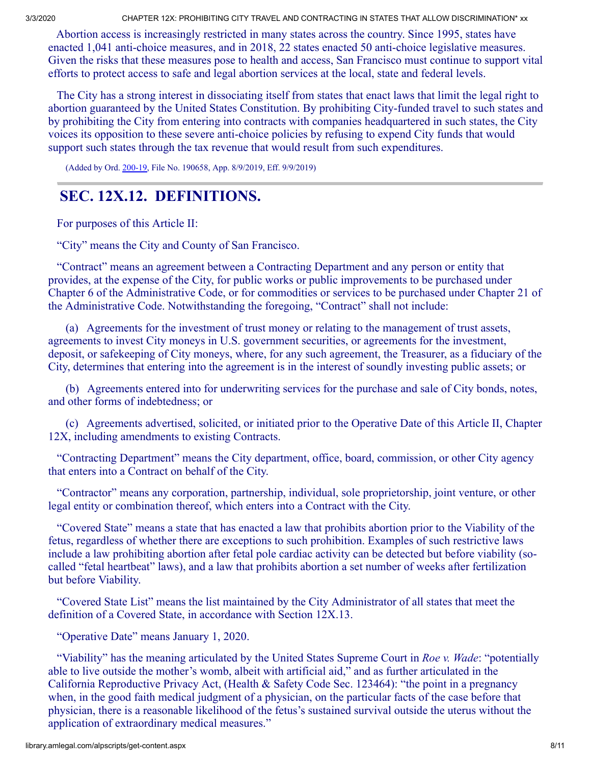Abortion access is increasingly restricted in many states across the country. Since 1995, states have enacted 1,041 anti-choice measures, and in 2018, 22 states enacted 50 anti-choice legislative measures. Given the risks that these measures pose to health and access, San Francisco must continue to support vital efforts to protect access to safe and legal abortion services at the local, state and federal levels.

 The City has a strong interest in dissociating itself from states that enact laws that limit the legal right to abortion guaranteed by the United States Constitution. By prohibiting City-funded travel to such states and by prohibiting the City from entering into contracts with companies headquartered in such states, the City voices its opposition to these severe anti-choice policies by refusing to expend City funds that would support such states through the tax revenue that would result from such expenditures.

(Added by Ord. [200-19,](https://sfbos.org/sites/default/files/o0200-19.pdf) File No. 190658, App. 8/9/2019, Eff. 9/9/2019)

#### **SEC. 12X.12. DEFINITIONS.**

For purposes of this Article II:

"City" means the City and County of San Francisco.

 "Contract" means an agreement between a Contracting Department and any person or entity that provides, at the expense of the City, for public works or public improvements to be purchased under Chapter 6 of the Administrative Code, or for commodities or services to be purchased under Chapter 21 of the Administrative Code. Notwithstanding the foregoing, "Contract" shall not include:

 (a) Agreements for the investment of trust money or relating to the management of trust assets, agreements to invest City moneys in U.S. government securities, or agreements for the investment, deposit, or safekeeping of City moneys, where, for any such agreement, the Treasurer, as a fiduciary of the City, determines that entering into the agreement is in the interest of soundly investing public assets; or

 (b) Agreements entered into for underwriting services for the purchase and sale of City bonds, notes, and other forms of indebtedness; or

 (c) Agreements advertised, solicited, or initiated prior to the Operative Date of this Article II, Chapter 12X, including amendments to existing Contracts.

 "Contracting Department" means the City department, office, board, commission, or other City agency that enters into a Contract on behalf of the City.

 "Contractor" means any corporation, partnership, individual, sole proprietorship, joint venture, or other legal entity or combination thereof, which enters into a Contract with the City.

 "Covered State" means a state that has enacted a law that prohibits abortion prior to the Viability of the fetus, regardless of whether there are exceptions to such prohibition. Examples of such restrictive laws include a law prohibiting abortion after fetal pole cardiac activity can be detected but before viability (socalled "fetal heartbeat" laws), and a law that prohibits abortion a set number of weeks after fertilization but before Viability.

 "Covered State List" means the list maintained by the City Administrator of all states that meet the definition of a Covered State, in accordance with Section 12X.13.

"Operative Date" means January 1, 2020.

 "Viability" has the meaning articulated by the United States Supreme Court in *Roe v. Wade*: "potentially able to live outside the mother's womb, albeit with artificial aid," and as further articulated in the California Reproductive Privacy Act, (Health & Safety Code Sec. 123464): "the point in a pregnancy when, in the good faith medical judgment of a physician, on the particular facts of the case before that physician, there is a reasonable likelihood of the fetus's sustained survival outside the uterus without the application of extraordinary medical measures."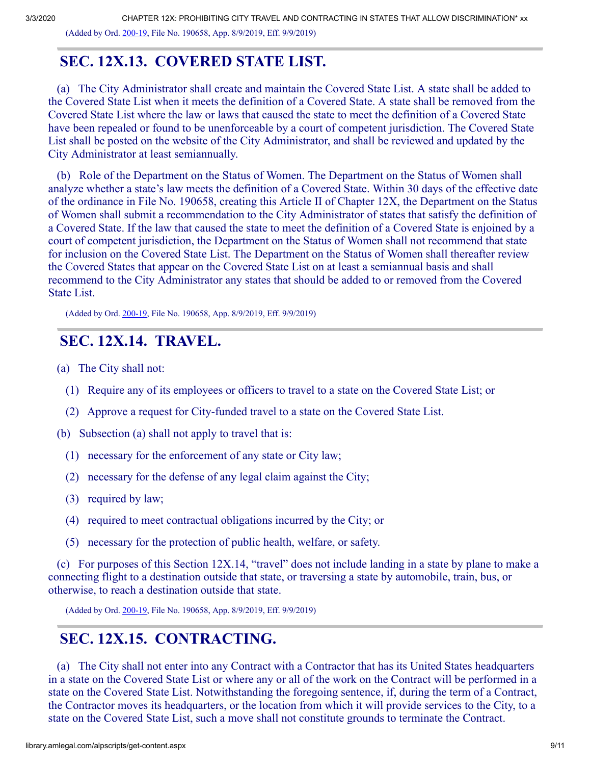(Added by Ord. [200-19,](https://sfbos.org/sites/default/files/o0200-19.pdf) File No. 190658, App. 8/9/2019, Eff. 9/9/2019)

#### **SEC. 12X.13. COVERED STATE LIST.**

 (a) The City Administrator shall create and maintain the Covered State List. A state shall be added to the Covered State List when it meets the definition of a Covered State. A state shall be removed from the Covered State List where the law or laws that caused the state to meet the definition of a Covered State have been repealed or found to be unenforceable by a court of competent jurisdiction. The Covered State List shall be posted on the website of the City Administrator, and shall be reviewed and updated by the City Administrator at least semiannually.

 (b) Role of the Department on the Status of Women. The Department on the Status of Women shall analyze whether a state's law meets the definition of a Covered State. Within 30 days of the effective date of the ordinance in File No. 190658, creating this Article II of Chapter 12X, the Department on the Status of Women shall submit a recommendation to the City Administrator of states that satisfy the definition of a Covered State. If the law that caused the state to meet the definition of a Covered State is enjoined by a court of competent jurisdiction, the Department on the Status of Women shall not recommend that state for inclusion on the Covered State List. The Department on the Status of Women shall thereafter review the Covered States that appear on the Covered State List on at least a semiannual basis and shall recommend to the City Administrator any states that should be added to or removed from the Covered State List.

(Added by Ord. [200-19,](https://sfbos.org/sites/default/files/o0200-19.pdf) File No. 190658, App. 8/9/2019, Eff. 9/9/2019)

#### **SEC. 12X.14. TRAVEL.**

(a) The City shall not:

- (1) Require any of its employees or officers to travel to a state on the Covered State List; or
- (2) Approve a request for City-funded travel to a state on the Covered State List.
- (b) Subsection (a) shall not apply to travel that is:
	- (1) necessary for the enforcement of any state or City law;
	- (2) necessary for the defense of any legal claim against the City;
	- (3) required by law;
	- (4) required to meet contractual obligations incurred by the City; or
	- (5) necessary for the protection of public health, welfare, or safety.

 (c) For purposes of this Section 12X.14, "travel" does not include landing in a state by plane to make a connecting flight to a destination outside that state, or traversing a state by automobile, train, bus, or otherwise, to reach a destination outside that state.

(Added by Ord. [200-19,](https://sfbos.org/sites/default/files/o0200-19.pdf) File No. 190658, App. 8/9/2019, Eff. 9/9/2019)

## **SEC. 12X.15. CONTRACTING.**

 (a) The City shall not enter into any Contract with a Contractor that has its United States headquarters in a state on the Covered State List or where any or all of the work on the Contract will be performed in a state on the Covered State List. Notwithstanding the foregoing sentence, if, during the term of a Contract, the Contractor moves its headquarters, or the location from which it will provide services to the City, to a state on the Covered State List, such a move shall not constitute grounds to terminate the Contract.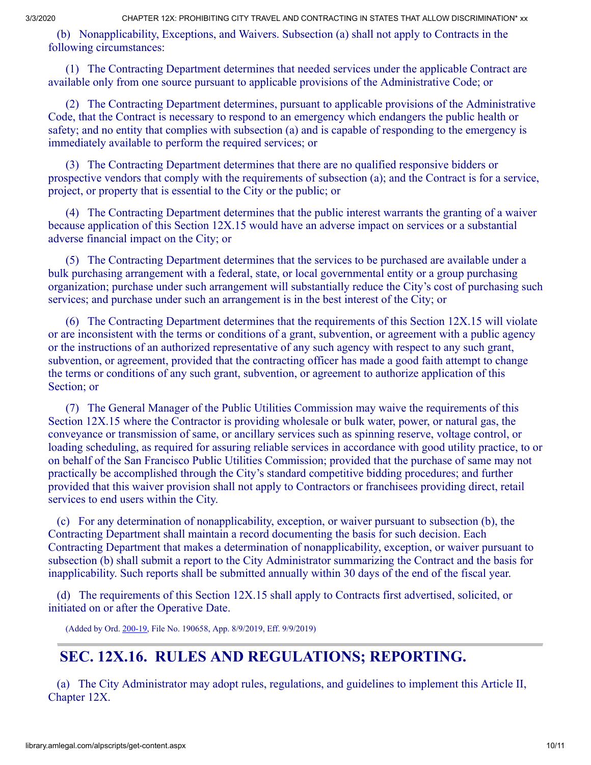(b) Nonapplicability, Exceptions, and Waivers. Subsection (a) shall not apply to Contracts in the following circumstances:

 (1) The Contracting Department determines that needed services under the applicable Contract are available only from one source pursuant to applicable provisions of the Administrative Code; or

 (2) The Contracting Department determines, pursuant to applicable provisions of the Administrative Code, that the Contract is necessary to respond to an emergency which endangers the public health or safety; and no entity that complies with subsection (a) and is capable of responding to the emergency is immediately available to perform the required services; or

 (3) The Contracting Department determines that there are no qualified responsive bidders or prospective vendors that comply with the requirements of subsection (a); and the Contract is for a service, project, or property that is essential to the City or the public; or

 (4) The Contracting Department determines that the public interest warrants the granting of a waiver because application of this Section 12X.15 would have an adverse impact on services or a substantial adverse financial impact on the City; or

 (5) The Contracting Department determines that the services to be purchased are available under a bulk purchasing arrangement with a federal, state, or local governmental entity or a group purchasing organization; purchase under such arrangement will substantially reduce the City's cost of purchasing such services; and purchase under such an arrangement is in the best interest of the City; or

 (6) The Contracting Department determines that the requirements of this Section 12X.15 will violate or are inconsistent with the terms or conditions of a grant, subvention, or agreement with a public agency or the instructions of an authorized representative of any such agency with respect to any such grant, subvention, or agreement, provided that the contracting officer has made a good faith attempt to change the terms or conditions of any such grant, subvention, or agreement to authorize application of this Section; or

 (7) The General Manager of the Public Utilities Commission may waive the requirements of this Section 12X.15 where the Contractor is providing wholesale or bulk water, power, or natural gas, the conveyance or transmission of same, or ancillary services such as spinning reserve, voltage control, or loading scheduling, as required for assuring reliable services in accordance with good utility practice, to or on behalf of the San Francisco Public Utilities Commission; provided that the purchase of same may not practically be accomplished through the City's standard competitive bidding procedures; and further provided that this waiver provision shall not apply to Contractors or franchisees providing direct, retail services to end users within the City.

 (c) For any determination of nonapplicability, exception, or waiver pursuant to subsection (b), the Contracting Department shall maintain a record documenting the basis for such decision. Each Contracting Department that makes a determination of nonapplicability, exception, or waiver pursuant to subsection (b) shall submit a report to the City Administrator summarizing the Contract and the basis for inapplicability. Such reports shall be submitted annually within 30 days of the end of the fiscal year.

 (d) The requirements of this Section 12X.15 shall apply to Contracts first advertised, solicited, or initiated on or after the Operative Date.

(Added by Ord. [200-19,](https://sfbos.org/sites/default/files/o0200-19.pdf) File No. 190658, App. 8/9/2019, Eff. 9/9/2019)

## **SEC. 12X.16. RULES AND REGULATIONS; REPORTING.**

 (a) The City Administrator may adopt rules, regulations, and guidelines to implement this Article II, Chapter 12X.